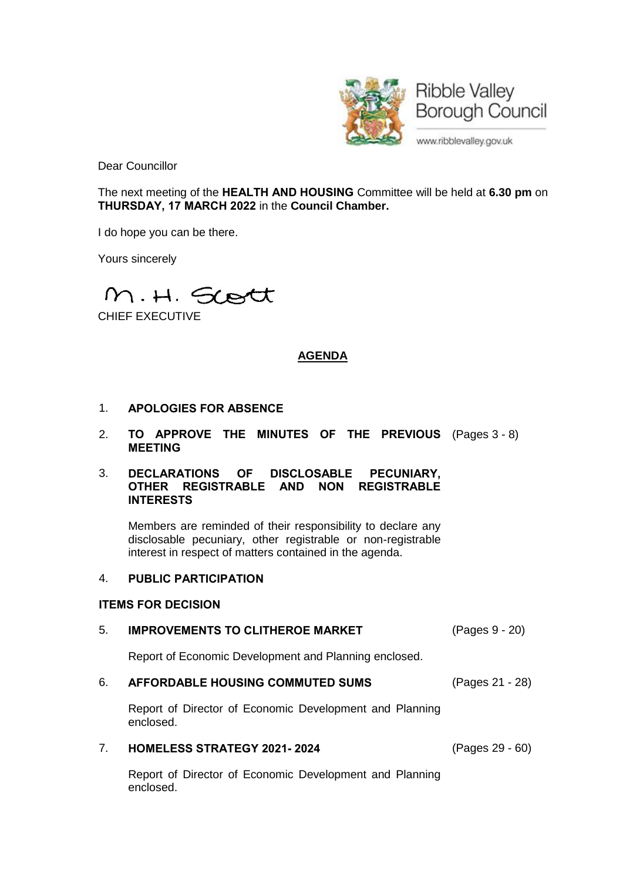

Dear Councillor

The next meeting of the **HEALTH AND HOUSING** Committee will be held at **6.30 pm** on **THURSDAY, 17 MARCH 2022** in the **Council Chamber.**

I do hope you can be there.

Yours sincerely

M.H. Scott

CHIEF EXECUTIVE

# **AGENDA**

- 1. **APOLOGIES FOR ABSENCE**
- 2. **TO APPROVE THE MINUTES OF THE PREVIOUS** (Pages 3 8) **MEETING**

### 3. **DECLARATIONS OF DISCLOSABLE PECUNIARY, OTHER REGISTRABLE AND NON REGISTRABLE INTERESTS**

Members are reminded of their responsibility to declare any disclosable pecuniary, other registrable or non-registrable interest in respect of matters contained in the agenda.

## 4. **PUBLIC PARTICIPATION**

## **ITEMS FOR DECISION**

## 5. **IMPROVEMENTS TO CLITHEROE MARKET** (Pages 9 - 20)

Report of Economic Development and Planning enclosed.

## 6. **AFFORDABLE HOUSING COMMUTED SUMS** (Pages 21 - 28)

Report of Director of Economic Development and Planning enclosed.

#### 7. **HOMELESS STRATEGY 2021- 2024** (Pages 29 - 60)

Report of Director of Economic Development and Planning enclosed.